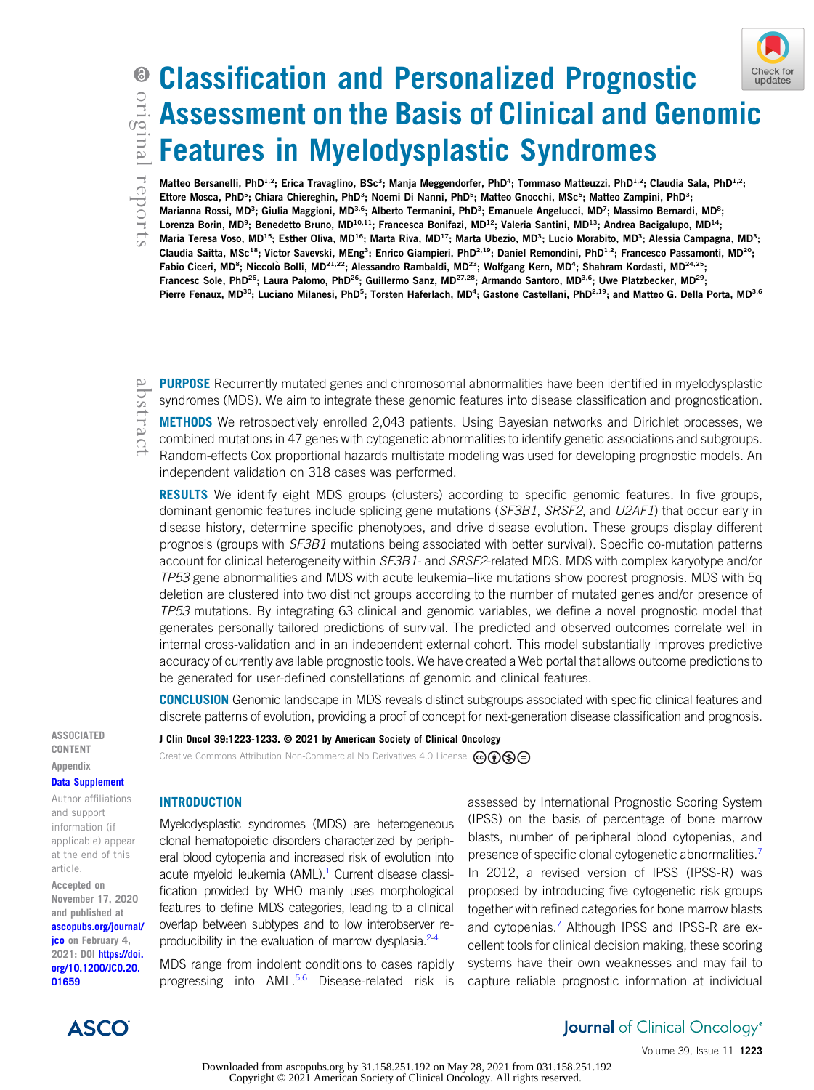## Check for updates

# Classification and Personalized Prognostic Assessment on the Basis of Clinical and Genomic Features in Myelodysplastic Syndromes

Matteo Bersanelli, PhD<sup>1,2</sup>; Erica Travaglino, BSc<sup>3</sup>; Manja Meggendorfer, PhD<sup>4</sup>; Tommaso Matteuzzi, PhD<sup>1,2</sup>; Claudia Sala, PhD<sup>1,2</sup>; Ettore Mosca, PhD<sup>5</sup>; Chiara Chiereghin, PhD<sup>3</sup>; Noemi Di Nanni, PhD<sup>5</sup>; Matteo Gnocchi, MSc<sup>5</sup>; Matteo Zampini, PhD<sup>3</sup>; Marianna Rossi, MD<sup>3</sup>; Giulia Maggioni, MD<sup>3,6</sup>; Alberto Termanini, PhD<sup>3</sup>; Emanuele Angelucci, MD<sup>7</sup>; Massimo Bernardi, MD<sup>8</sup>; Lorenza Borin, MD<sup>9</sup>; Benedetto Bruno, MD<sup>10,11</sup>; Francesca Bonifazi, MD<sup>12</sup>; Valeria Santini, MD<sup>13</sup>; Andrea Bacigalupo, MD<sup>14</sup>; Maria Teresa Voso, MD<sup>15</sup>; Esther Oliva, MD<sup>16</sup>; Marta Riva, MD<sup>17</sup>; Marta Ubezio, MD<sup>3</sup>; Lucio Morabito, MD<sup>3</sup>; Alessia Campagna, MD<sup>3</sup>; Claudia Saitta, MSc<sup>18</sup>; Victor Savevski, MEng<sup>3</sup>; Enrico Giampieri, PhD<sup>2,19</sup>; Daniel Remondini, PhD<sup>1,2</sup>; Francesco Passamonti, MD<sup>20</sup>; Fabio Ciceri, MD<sup>8</sup>; Niccolò Bolli, MD<sup>21,22</sup>; Alessandro Rambaldi, MD<sup>23</sup>; Wolfgang Kern, MD<sup>4</sup>; Shahram Kordasti, MD<sup>24,25</sup>; Francesc Sole, PhD<sup>26</sup>; Laura Palomo, PhD<sup>26</sup>; Guillermo Sanz, MD<sup>27,28</sup>; Armando Santoro, MD<sup>3,6</sup>; Uwe Platzbecker, MD<sup>29</sup>; Pierre Fenaux, MD<sup>30</sup>; Luciano Milanesi, PhD<sup>5</sup>; Torsten Haferlach, MD<sup>4</sup>; Gastone Castellani, PhD<sup>2,19</sup>; and Matteo G. Della Porta, MD<sup>3,6</sup>

PURPOSE Recurrently mutated genes and chromosomal abnormalities have been identified in myelodysplastic syndromes (MDS). We aim to integrate these genomic features into disease classification and prognostication.

METHODS We retrospectively enrolled 2,043 patients. Using Bayesian networks and Dirichlet processes, we combined mutations in 47 genes with cytogenetic abnormalities to identify genetic associations and subgroups. Random-effects Cox proportional hazards multistate modeling was used for developing prognostic models. An independent validation on 318 cases was performed.

**RESULTS** We identify eight MDS groups (clusters) according to specific genomic features. In five groups, dominant genomic features include splicing gene mutations (SF3B1, SRSF2, and U2AF1) that occur early in disease history, determine specific phenotypes, and drive disease evolution. These groups display different prognosis (groups with SF3B1 mutations being associated with better survival). Specific co-mutation patterns account for clinical heterogeneity within SF3B1- and SRSF2-related MDS. MDS with complex karyotype and/or TP53 gene abnormalities and MDS with acute leukemia–like mutations show poorest prognosis. MDS with 5q deletion are clustered into two distinct groups according to the number of mutated genes and/or presence of TP53 mutations. By integrating 63 clinical and genomic variables, we define a novel prognostic model that generates personally tailored predictions of survival. The predicted and observed outcomes correlate well in internal cross-validation and in an independent external cohort. This model substantially improves predictive accuracy of currently available prognostic tools. We have created a Web portal that allows outcome predictions to be generated for user-defined constellations of genomic and clinical features.

CONCLUSION Genomic landscape in MDS reveals distinct subgroups associated with specific clinical features and discrete patterns of evolution, providing a proof of concept for next-generation disease classification and prognosis.

ASSOCIATED CONTENT Appendix

## [Data Supplement](https://ascopubs.org/doi/suppl/10.1200/JCO.20.01659)

Author affiliations and support information (if applicable) appear at the end of this article.

Accepted on November 17, 2020 and published at [ascopubs.org/journal/](http://ascopubs.org/journal/jco) [jco](http://ascopubs.org/journal/jco) on February 4, 2021: DOI [https://doi.](http://ascopubs.org/doi/full/10.1200/JCO.20.01659) [org/10.1200/JCO.20.](http://ascopubs.org/doi/full/10.1200/JCO.20.01659) [01659](http://ascopubs.org/doi/full/10.1200/JCO.20.01659)



J Clin Oncol 39:1223-1233. © 2021 by American Society of Clinical Oncology

Creative Commons Attribution Non-Commercial No Derivatives 4.0 License  $\bigcirc \mathbf{\odot} \mathbf{\odot} \bigcirc$ 

## INTRODUCTION

Myelodysplastic syndromes (MDS) are heterogeneous clonal hematopoietic disorders characterized by peripheral blood cytopenia and increased risk of evolution into acute myeloid leukemia  $(AML).<sup>1</sup>$  Current disease classification provided by WHO mainly uses morphological features to define MDS categories, leading to a clinical overlap between subtypes and to low interobserver re-producibility in the evaluation of marrow dysplasia.<sup>[2-](#page-9-1)[4](#page-9-2)</sup>

MDS range from indolent conditions to cases rapidly progressing into AML.[5,](#page-9-3)[6](#page-9-4) Disease-related risk is

assessed by International Prognostic Scoring System (IPSS) on the basis of percentage of bone marrow blasts, number of peripheral blood cytopenias, and presence of specific clonal cytogenetic abnormalities.<sup>[7](#page-9-5)</sup> In 2012, a revised version of IPSS (IPSS-R) was proposed by introducing five cytogenetic risk groups together with refined categories for bone marrow blasts and cytopenias.<sup>[7](#page-9-5)</sup> Although IPSS and IPSS-R are excellent tools for clinical decision making, these scoring systems have their own weaknesses and may fail to capture reliable prognostic information at individual

> **Journal** of Clinical Oncology<sup>®</sup> Volume 39, Issue 11 1223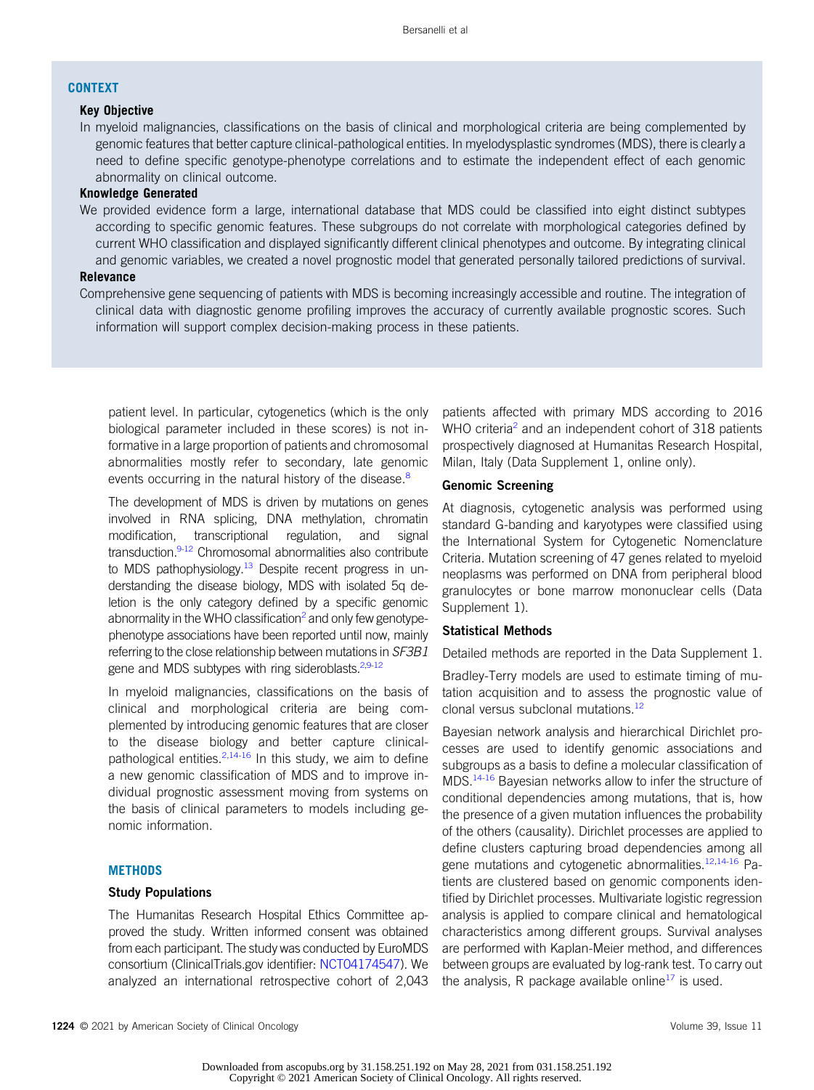## **CONTEXT**

## Key Objective

In myeloid malignancies, classifications on the basis of clinical and morphological criteria are being complemented by genomic features that better capture clinical-pathological entities. In myelodysplastic syndromes (MDS), there is clearly a need to define specific genotype-phenotype correlations and to estimate the independent effect of each genomic abnormality on clinical outcome.

## Knowledge Generated

We provided evidence form a large, international database that MDS could be classified into eight distinct subtypes according to specific genomic features. These subgroups do not correlate with morphological categories defined by current WHO classification and displayed significantly different clinical phenotypes and outcome. By integrating clinical and genomic variables, we created a novel prognostic model that generated personally tailored predictions of survival.

## Relevance

Comprehensive gene sequencing of patients with MDS is becoming increasingly accessible and routine. The integration of clinical data with diagnostic genome profiling improves the accuracy of currently available prognostic scores. Such information will support complex decision-making process in these patients.

patient level. In particular, cytogenetics (which is the only biological parameter included in these scores) is not informative in a large proportion of patients and chromosomal abnormalities mostly refer to secondary, late genomic events occurring in the natural history of the disease.<sup>[8](#page-9-6)</sup>

The development of MDS is driven by mutations on genes involved in RNA splicing, DNA methylation, chromatin modification, transcriptional regulation, and signal transduction.<sup>9[-12](#page-9-8)</sup> Chromosomal abnormalities also contribute to MDS pathophysiology.<sup>13</sup> Despite recent progress in understanding the disease biology, MDS with isolated 5q deletion is the only category defined by a specific genomic abnormality in the WHO classification<sup>[2](#page-9-1)</sup> and only few genotypephenotype associations have been reported until now, mainly referring to the close relationship between mutations in SF3B1 gene and MDS subtypes with ring sideroblasts. $2,9-12$  $2,9-12$  $2,9-12$ 

In myeloid malignancies, classifications on the basis of clinical and morphological criteria are being complemented by introducing genomic features that are closer to the disease biology and better capture clinicalpathological entities.  $2,14-16$  $2,14-16$  $2,14-16$  $2,14-16$  In this study, we aim to define a new genomic classification of MDS and to improve individual prognostic assessment moving from systems on the basis of clinical parameters to models including genomic information.

## **METHODS**

## Study Populations

The Humanitas Research Hospital Ethics Committee approved the study. Written informed consent was obtained from each participant. The study was conducted by EuroMDS consortium (ClinicalTrials.gov identifier: [NCT04174547\)](https://clinicaltrials.gov/ct2/show/NCT04174547). We analyzed an international retrospective cohort of 2,043

patients affected with primary MDS according to 2016 WHO criteria<sup>[2](#page-9-1)</sup> and an independent cohort of 318 patients prospectively diagnosed at Humanitas Research Hospital, Milan, Italy (Data Supplement 1, online only).

## Genomic Screening

At diagnosis, cytogenetic analysis was performed using standard G-banding and karyotypes were classified using the International System for Cytogenetic Nomenclature Criteria. Mutation screening of 47 genes related to myeloid neoplasms was performed on DNA from peripheral blood granulocytes or bone marrow mononuclear cells (Data Supplement 1).

#### Statistical Methods

Detailed methods are reported in the Data Supplement 1.

Bradley-Terry models are used to estimate timing of mutation acquisition and to assess the prognostic value of clonal versus subclonal mutations[.12](#page-9-8)

Bayesian network analysis and hierarchical Dirichlet processes are used to identify genomic associations and subgroups as a basis to define a molecular classification of MDS.[14-](#page-10-1)[16](#page-10-2) Bayesian networks allow to infer the structure of conditional dependencies among mutations, that is, how the presence of a given mutation influences the probability of the others (causality). Dirichlet processes are applied to define clusters capturing broad dependencies among all gene mutations and cytogenetic abnormalities.<sup>[12,](#page-9-8)[14](#page-10-1)[-16](#page-10-2)</sup> Patients are clustered based on genomic components identified by Dirichlet processes. Multivariate logistic regression analysis is applied to compare clinical and hematological characteristics among different groups. Survival analyses are performed with Kaplan-Meier method, and differences between groups are evaluated by log-rank test. To carry out the analysis, R package available online<sup>17</sup> is used.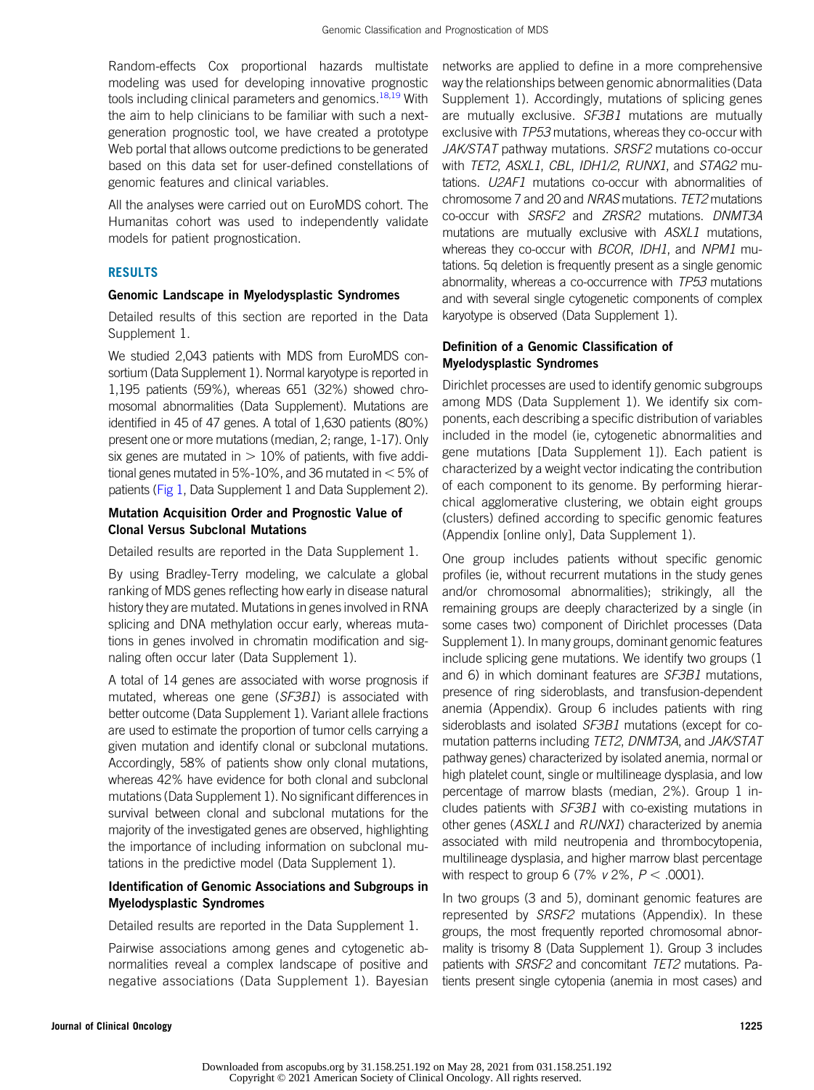Random-effects Cox proportional hazards multistate modeling was used for developing innovative prognostic tools including clinical parameters and genomics.<sup>[18](#page-10-4)[,19](#page-10-5)</sup> With the aim to help clinicians to be familiar with such a nextgeneration prognostic tool, we have created a prototype Web portal that allows outcome predictions to be generated based on this data set for user-defined constellations of genomic features and clinical variables.

All the analyses were carried out on EuroMDS cohort. The Humanitas cohort was used to independently validate models for patient prognostication.

## **RESULTS**

## Genomic Landscape in Myelodysplastic Syndromes

Detailed results of this section are reported in the Data Supplement 1.

We studied 2,043 patients with MDS from EuroMDS consortium (Data Supplement 1). Normal karyotype is reported in 1,195 patients (59%), whereas 651 (32%) showed chromosomal abnormalities (Data Supplement). Mutations are identified in 45 of 47 genes. A total of 1,630 patients (80%) present one or more mutations (median, 2; range, 1-17). Only six genes are mutated in  $> 10\%$  of patients, with five additional genes mutated in 5%-10%, and 36 mutated in  $<$  5% of patients ([Fig 1,](#page-3-0) Data Supplement 1 and Data Supplement 2).

## Mutation Acquisition Order and Prognostic Value of Clonal Versus Subclonal Mutations

Detailed results are reported in the Data Supplement 1.

By using Bradley-Terry modeling, we calculate a global ranking of MDS genes reflecting how early in disease natural history they are mutated. Mutations in genes involved in RNA splicing and DNA methylation occur early, whereas mutations in genes involved in chromatin modification and signaling often occur later (Data Supplement 1).

A total of 14 genes are associated with worse prognosis if mutated, whereas one gene (SF3B1) is associated with better outcome (Data Supplement 1). Variant allele fractions are used to estimate the proportion of tumor cells carrying a given mutation and identify clonal or subclonal mutations. Accordingly, 58% of patients show only clonal mutations, whereas 42% have evidence for both clonal and subclonal mutations (Data Supplement 1). No significant differences in survival between clonal and subclonal mutations for the majority of the investigated genes are observed, highlighting the importance of including information on subclonal mutations in the predictive model (Data Supplement 1).

## Identification of Genomic Associations and Subgroups in Myelodysplastic Syndromes

Detailed results are reported in the Data Supplement 1.

Pairwise associations among genes and cytogenetic abnormalities reveal a complex landscape of positive and negative associations (Data Supplement 1). Bayesian

networks are applied to define in a more comprehensive way the relationships between genomic abnormalities (Data Supplement 1). Accordingly, mutations of splicing genes are mutually exclusive. SF3B1 mutations are mutually exclusive with TP53 mutations, whereas they co-occur with JAK/STAT pathway mutations. SRSF2 mutations co-occur with TET2, ASXL1, CBL, IDH1/2, RUNX1, and STAG2 mutations. U2AF1 mutations co-occur with abnormalities of chromosome 7 and 20 and NRAS mutations. TET2 mutations co-occur with SRSF2 and ZRSR2 mutations. DNMT3A mutations are mutually exclusive with ASXL1 mutations. whereas they co-occur with BCOR, IDH1, and NPM1 mutations. 5q deletion is frequently present as a single genomic abnormality, whereas a co-occurrence with TP53 mutations and with several single cytogenetic components of complex karyotype is observed (Data Supplement 1).

## Definition of a Genomic Classification of Myelodysplastic Syndromes

Dirichlet processes are used to identify genomic subgroups among MDS (Data Supplement 1). We identify six components, each describing a specific distribution of variables included in the model (ie, cytogenetic abnormalities and gene mutations [Data Supplement 1]). Each patient is characterized by a weight vector indicating the contribution of each component to its genome. By performing hierarchical agglomerative clustering, we obtain eight groups (clusters) defined according to specific genomic features (Appendix [online only], Data Supplement 1).

One group includes patients without specific genomic profiles (ie, without recurrent mutations in the study genes and/or chromosomal abnormalities); strikingly, all the remaining groups are deeply characterized by a single (in some cases two) component of Dirichlet processes (Data Supplement 1). In many groups, dominant genomic features include splicing gene mutations. We identify two groups (1 and 6) in which dominant features are SF3B1 mutations, presence of ring sideroblasts, and transfusion-dependent anemia (Appendix). Group 6 includes patients with ring sideroblasts and isolated SF3B1 mutations (except for comutation patterns including TET2, DNMT3A, and JAK/STAT pathway genes) characterized by isolated anemia, normal or high platelet count, single or multilineage dysplasia, and low percentage of marrow blasts (median, 2%). Group 1 includes patients with SF3B1 with co-existing mutations in other genes (ASXL1 and RUNX1) characterized by anemia associated with mild neutropenia and thrombocytopenia, multilineage dysplasia, and higher marrow blast percentage with respect to group 6 (7%  $v$  2%,  $P < .0001$ ).

In two groups (3 and 5), dominant genomic features are represented by SRSF2 mutations (Appendix). In these groups, the most frequently reported chromosomal abnormality is trisomy 8 (Data Supplement 1). Group 3 includes patients with SRSF2 and concomitant TET2 mutations. Patients present single cytopenia (anemia in most cases) and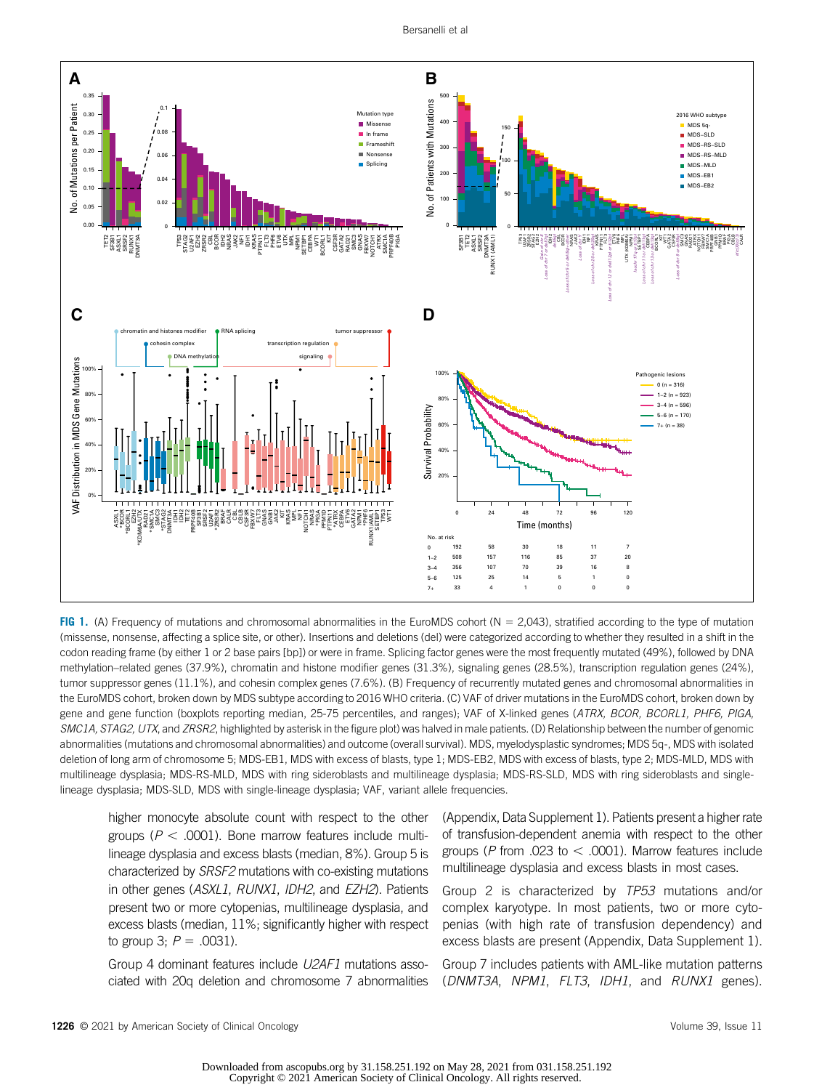

<span id="page-3-0"></span>FIG 1. (A) Frequency of mutations and chromosomal abnormalities in the EuroMDS cohort ( $N = 2,043$ ), stratified according to the type of mutation (missense, nonsense, affecting a splice site, or other). Insertions and deletions (del) were categorized according to whether they resulted in a shift in the codon reading frame (by either 1 or 2 base pairs [bp]) or were in frame. Splicing factor genes were the most frequently mutated (49%), followed by DNA methylation–related genes (37.9%), chromatin and histone modifier genes (31.3%), signaling genes (28.5%), transcription regulation genes (24%), tumor suppressor genes (11.1%), and cohesin complex genes (7.6%). (B) Frequency of recurrently mutated genes and chromosomal abnormalities in the EuroMDS cohort, broken down by MDS subtype according to 2016 WHO criteria. (C) VAF of driver mutations in the EuroMDS cohort, broken down by gene and gene function (boxplots reporting median, 25-75 percentiles, and ranges); VAF of X-linked genes (ATRX, BCOR, BCORL1, PHF6, PIGA, SMC1A, STAG2, UTX, and ZRSR2, highlighted by asterisk in the figure plot) was halved in male patients. (D) Relationship between the number of genomic abnormalities (mutations and chromosomal abnormalities) and outcome (overall survival). MDS, myelodysplastic syndromes; MDS 5q-, MDS with isolated deletion of long arm of chromosome 5; MDS-EB1, MDS with excess of blasts, type 1; MDS-EB2, MDS with excess of blasts, type 2; MDS-MLD, MDS with multilineage dysplasia; MDS-RS-MLD, MDS with ring sideroblasts and multilineage dysplasia; MDS-RS-SLD, MDS with ring sideroblasts and singlelineage dysplasia; MDS-SLD, MDS with single-lineage dysplasia; VAF, variant allele frequencies.

higher monocyte absolute count with respect to the other groups ( $P < .0001$ ). Bone marrow features include multilineage dysplasia and excess blasts (median, 8%). Group 5 is characterized by SRSF2 mutations with co-existing mutations in other genes (ASXL1, RUNX1, IDH2, and EZH2). Patients present two or more cytopenias, multilineage dysplasia, and excess blasts (median, 11%; significantly higher with respect to group 3;  $P = .0031$ ).

Group 4 dominant features include U2AF1 mutations associated with 20q deletion and chromosome 7 abnormalities

(Appendix, Data Supplement 1). Patients present a higher rate of transfusion-dependent anemia with respect to the other groups ( $P$  from .023 to  $<$  .0001). Marrow features include multilineage dysplasia and excess blasts in most cases.

Group 2 is characterized by TP53 mutations and/or complex karyotype. In most patients, two or more cytopenias (with high rate of transfusion dependency) and excess blasts are present (Appendix, Data Supplement 1).

Group 7 includes patients with AML-like mutation patterns (DNMT3A, NPM1, FLT3, IDH1, and RUNX1 genes).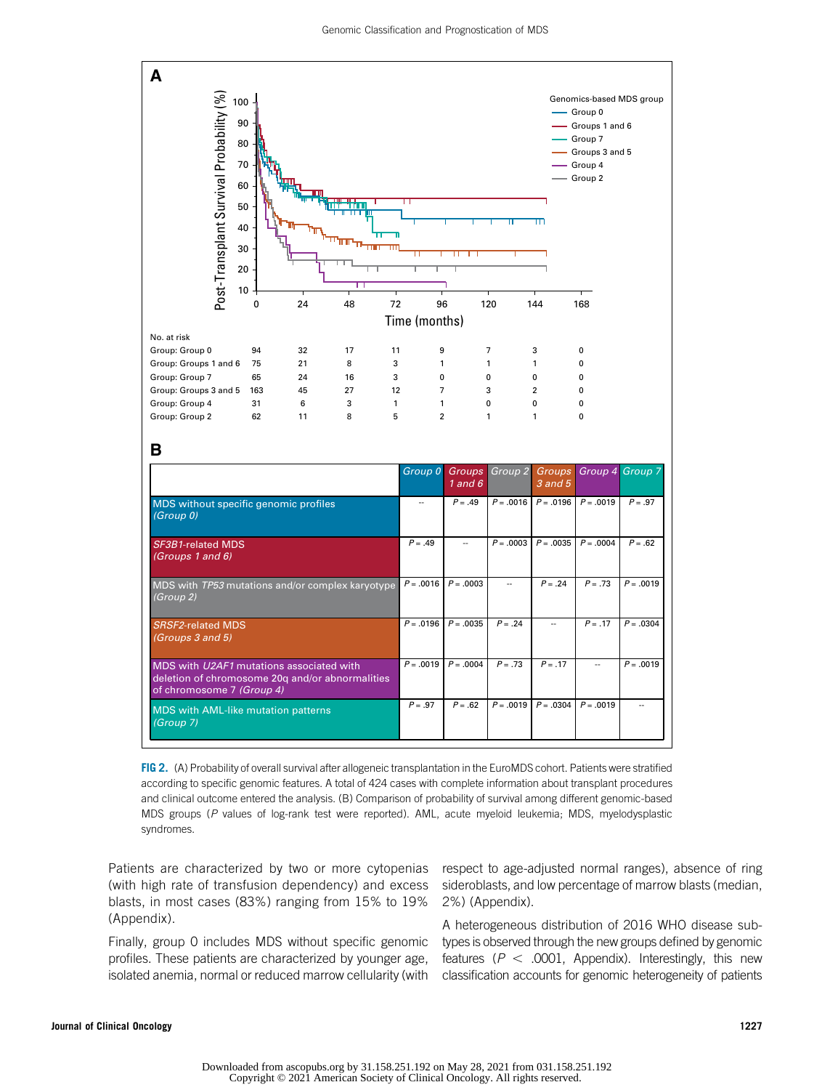

<span id="page-4-0"></span>FIG 2. (A) Probability of overall survival after allogeneic transplantation in the EuroMDS cohort. Patients were stratified according to specific genomic features. A total of 424 cases with complete information about transplant procedures and clinical outcome entered the analysis. (B) Comparison of probability of survival among different genomic-based MDS groups (P values of log-rank test were reported). AML, acute myeloid leukemia; MDS, myelodysplastic syndromes.

Patients are characterized by two or more cytopenias (with high rate of transfusion dependency) and excess blasts, in most cases (83%) ranging from 15% to 19% (Appendix).

MDS with AML-like mutation patterns

*(Group 7)*

Finally, group 0 includes MDS without specific genomic profiles. These patients are characterized by younger age, isolated anemia, normal or reduced marrow cellularity (with respect to age-adjusted normal ranges), absence of ring sideroblasts, and low percentage of marrow blasts (median, 2%) (Appendix).

A heterogeneous distribution of 2016 WHO disease subtypes is observed through the new groups defined by genomic features ( $P < .0001$ , Appendix). Interestingly, this new classification accounts for genomic heterogeneity of patients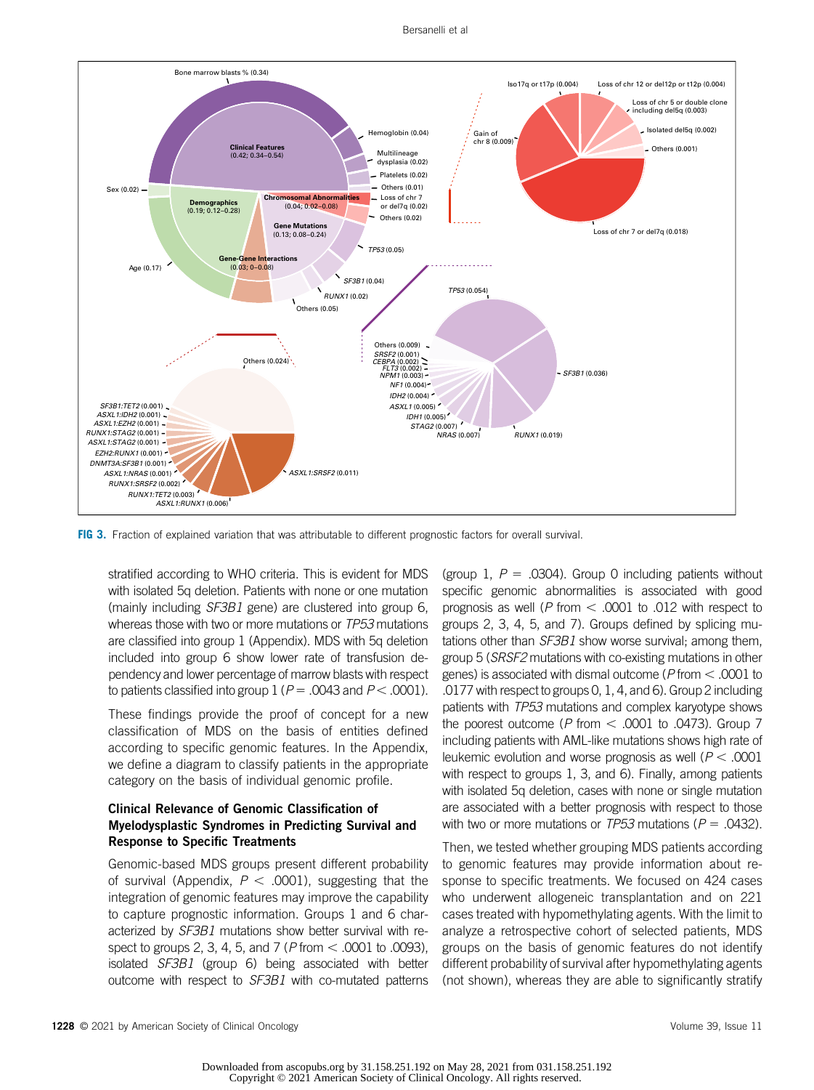

<span id="page-5-0"></span>FIG 3. Fraction of explained variation that was attributable to different prognostic factors for overall survival.

stratified according to WHO criteria. This is evident for MDS with isolated 5q deletion. Patients with none or one mutation (mainly including SF3B1 gene) are clustered into group 6, whereas those with two or more mutations or TP53 mutations are classified into group 1 (Appendix). MDS with 5q deletion included into group 6 show lower rate of transfusion dependency and lower percentage of marrow blasts with respect to patients classified into group 1 ( $P = .0043$  and  $P < .0001$ ).

These findings provide the proof of concept for a new classification of MDS on the basis of entities defined according to specific genomic features. In the Appendix, we define a diagram to classify patients in the appropriate category on the basis of individual genomic profile.

## Clinical Relevance of Genomic Classification of Myelodysplastic Syndromes in Predicting Survival and Response to Specific Treatments

Genomic-based MDS groups present different probability of survival (Appendix,  $P < .0001$ ), suggesting that the integration of genomic features may improve the capability to capture prognostic information. Groups 1 and 6 characterized by SF3B1 mutations show better survival with respect to groups 2, 3, 4, 5, and 7 (*P* from  $<$  .0001 to .0093), isolated SF3B1 (group 6) being associated with better outcome with respect to SF3B1 with co-mutated patterns

(group 1,  $P = .0304$ ). Group 0 including patients without specific genomic abnormalities is associated with good prognosis as well (P from  $<$  .0001 to .012 with respect to groups 2, 3, 4, 5, and 7). Groups defined by splicing mutations other than SF3B1 show worse survival; among them, group 5 (SRSF2 mutations with co-existing mutations in other genes) is associated with dismal outcome ( $P$  from  $<$  .0001 to .0177 with respect to groups 0, 1, 4, and 6). Group 2 including patients with TP53 mutations and complex karyotype shows the poorest outcome ( $P$  from  $\lt$  .0001 to .0473). Group 7 including patients with AML-like mutations shows high rate of leukemic evolution and worse prognosis as well ( $P < .0001$ ) with respect to groups 1, 3, and 6). Finally, among patients with isolated 5q deletion, cases with none or single mutation are associated with a better prognosis with respect to those with two or more mutations or TP53 mutations ( $P = .0432$ ).

Then, we tested whether grouping MDS patients according to genomic features may provide information about response to specific treatments. We focused on 424 cases who underwent allogeneic transplantation and on 221 cases treated with hypomethylating agents. With the limit to analyze a retrospective cohort of selected patients, MDS groups on the basis of genomic features do not identify different probability of survival after hypomethylating agents (not shown), whereas they are able to significantly stratify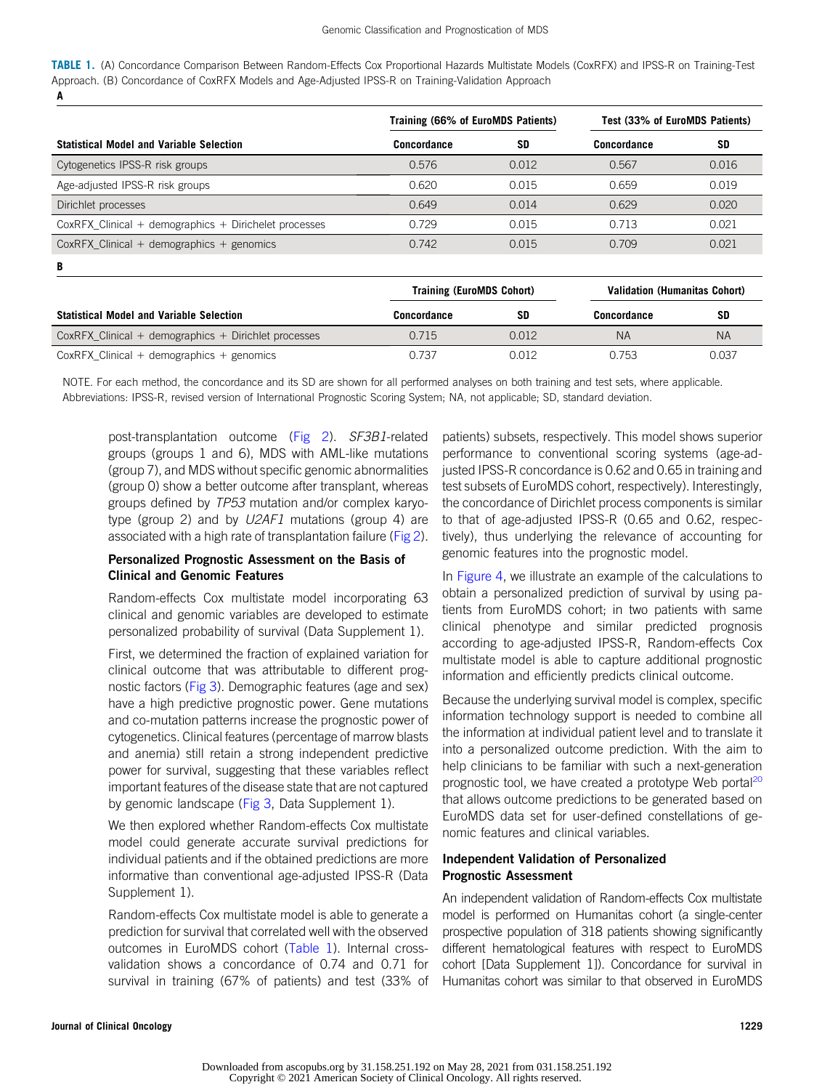<span id="page-6-0"></span>TABLE 1. (A) Concordance Comparison Between Random-Effects Cox Proportional Hazards Multistate Models (CoxRFX) and IPSS-R on Training-Test Approach. (B) Concordance of CoxRFX Models and Age-Adjusted IPSS-R on Training-Validation Approach

A

|                                                         | Training (66% of EuroMDS Patients) |           | Test (33% of EuroMDS Patients) |           |
|---------------------------------------------------------|------------------------------------|-----------|--------------------------------|-----------|
| <b>Statistical Model and Variable Selection</b>         | Concordance                        | <b>SD</b> | Concordance                    | <b>SD</b> |
| Cytogenetics IPSS-R risk groups                         | 0.576                              | 0.012     | 0.567                          | 0.016     |
| Age-adjusted IPSS-R risk groups                         | 0.620<br>0.015                     |           | 0.659                          | 0.019     |
| Dirichlet processes                                     | 0.649                              | 0.014     | 0.629                          | 0.020     |
| $CoxRFX$ Clinical + demographics + Dirichelet processes | 0.729                              | 0.015     | 0.713                          | 0.021     |
| $CoxRFX$ Clinical + demographics + genomics             | 0.742                              | 0.015     | 0.709                          | 0.021     |
| B                                                       |                                    |           |                                |           |
|                                                         | Teatrice (ForeMADO Oshaut)         |           | Volidation (Unmonitor Ochom)   |           |

|                                                        | <b>TIGHTING (CUIDINIDS GUILDIL)</b> |       | VAIIUAUVII (NUIIIAIIILAS GUIJULI) |       |
|--------------------------------------------------------|-------------------------------------|-------|-----------------------------------|-------|
| <b>Statistical Model and Variable Selection</b>        | Concordance                         | SD    | Concordance                       | SD    |
| $CoxRFX$ Clinical + demographics + Dirichlet processes | 0.715                               | 0.012 | ΝA                                | NA    |
| $CoxRFX$ Clinical + demographics + genomics            | 0.737                               | 0.012 | 0.753                             | 0.037 |

NOTE. For each method, the concordance and its SD are shown for all performed analyses on both training and test sets, where applicable. Abbreviations: IPSS-R, revised version of International Prognostic Scoring System; NA, not applicable; SD, standard deviation.

post-transplantation outcome ([Fig 2\)](#page-4-0). SF3B1-related groups (groups 1 and 6), MDS with AML-like mutations (group 7), and MDS without specific genomic abnormalities (group 0) show a better outcome after transplant, whereas groups defined by TP53 mutation and/or complex karyotype (group 2) and by U2AF1 mutations (group 4) are associated with a high rate of transplantation failure ([Fig 2](#page-4-0)).

## Personalized Prognostic Assessment on the Basis of Clinical and Genomic Features

Random-effects Cox multistate model incorporating 63 clinical and genomic variables are developed to estimate personalized probability of survival (Data Supplement 1).

First, we determined the fraction of explained variation for clinical outcome that was attributable to different prognostic factors ([Fig 3\)](#page-5-0). Demographic features (age and sex) have a high predictive prognostic power. Gene mutations and co-mutation patterns increase the prognostic power of cytogenetics. Clinical features (percentage of marrow blasts and anemia) still retain a strong independent predictive power for survival, suggesting that these variables reflect important features of the disease state that are not captured by genomic landscape ([Fig 3,](#page-5-0) Data Supplement 1).

We then explored whether Random-effects Cox multistate model could generate accurate survival predictions for individual patients and if the obtained predictions are more informative than conventional age-adjusted IPSS-R (Data Supplement 1).

Random-effects Cox multistate model is able to generate a prediction for survival that correlated well with the observed outcomes in EuroMDS cohort [\(Table 1](#page-6-0)). Internal crossvalidation shows a concordance of 0.74 and 0.71 for survival in training (67% of patients) and test (33% of patients) subsets, respectively. This model shows superior performance to conventional scoring systems (age-adjusted IPSS-R concordance is 0.62 and 0.65 in training and test subsets of EuroMDS cohort, respectively). Interestingly, the concordance of Dirichlet process components is similar to that of age-adjusted IPSS-R (0.65 and 0.62, respectively), thus underlying the relevance of accounting for genomic features into the prognostic model.

In [Figure 4,](#page-7-0) we illustrate an example of the calculations to obtain a personalized prediction of survival by using patients from EuroMDS cohort; in two patients with same clinical phenotype and similar predicted prognosis according to age-adjusted IPSS-R, Random-effects Cox multistate model is able to capture additional prognostic information and efficiently predicts clinical outcome.

Because the underlying survival model is complex, specific information technology support is needed to combine all the information at individual patient level and to translate it into a personalized outcome prediction. With the aim to help clinicians to be familiar with such a next-generation prognostic tool, we have created a prototype Web portal<sup>[20](#page-10-6)</sup> that allows outcome predictions to be generated based on EuroMDS data set for user-defined constellations of genomic features and clinical variables.

## Independent Validation of Personalized Prognostic Assessment

An independent validation of Random-effects Cox multistate model is performed on Humanitas cohort (a single-center prospective population of 318 patients showing significantly different hematological features with respect to EuroMDS cohort [Data Supplement 1]). Concordance for survival in Humanitas cohort was similar to that observed in EuroMDS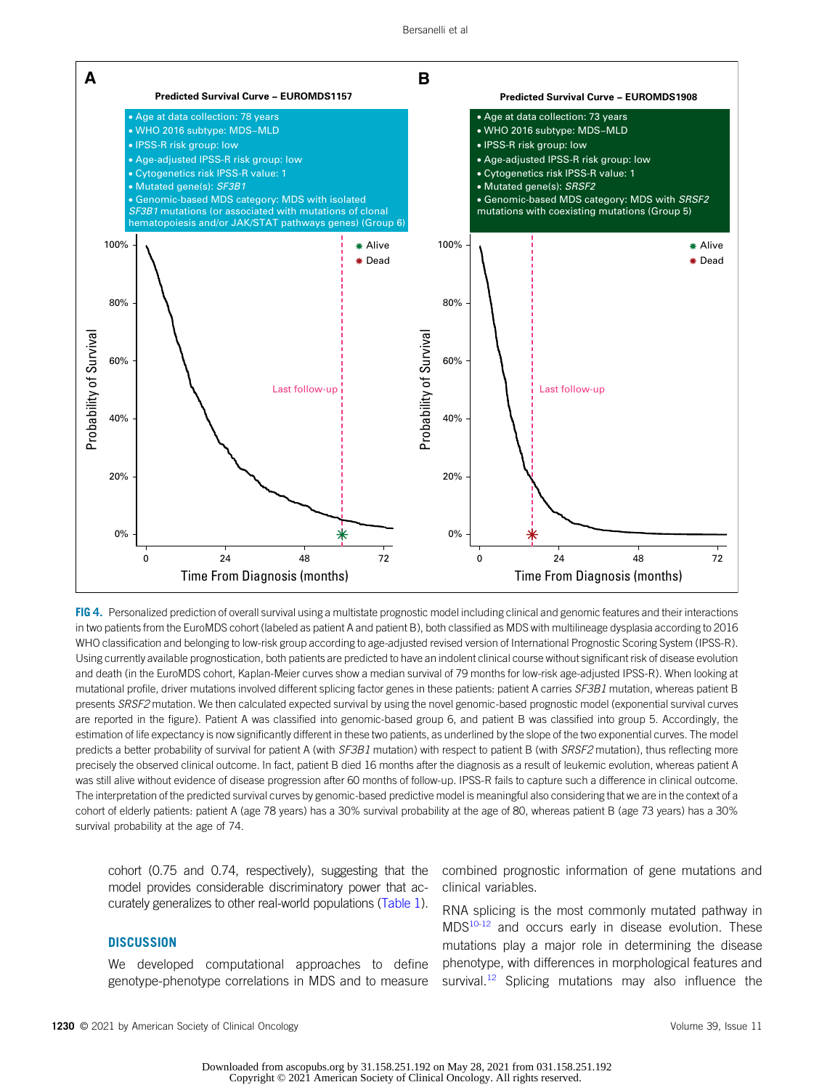

<span id="page-7-0"></span>FIG 4. Personalized prediction of overall survival using a multistate prognostic model including clinical and genomic features and their interactions in two patients from the EuroMDS cohort (labeled as patient A and patient B), both classified as MDS with multilineage dysplasia according to 2016 WHO classification and belonging to low-risk group according to age-adjusted revised version of International Prognostic Scoring System (IPSS-R). Using currently available prognostication, both patients are predicted to have an indolent clinical course without significant risk of disease evolution and death (in the EuroMDS cohort, Kaplan-Meier curves show a median survival of 79 months for low-risk age-adjusted IPSS-R). When looking at mutational profile, driver mutations involved different splicing factor genes in these patients: patient A carries SF3B1 mutation, whereas patient B presents SRSF2 mutation. We then calculated expected survival by using the novel genomic-based prognostic model (exponential survival curves are reported in the figure). Patient A was classified into genomic-based group 6, and patient B was classified into group 5. Accordingly, the estimation of life expectancy is now significantly different in these two patients, as underlined by the slope of the two exponential curves. The model predicts a better probability of survival for patient A (with SF3B1 mutation) with respect to patient B (with SRSF2 mutation), thus reflecting more precisely the observed clinical outcome. In fact, patient B died 16 months after the diagnosis as a result of leukemic evolution, whereas patient A was still alive without evidence of disease progression after 60 months of follow-up. IPSS-R fails to capture such a difference in clinical outcome. The interpretation of the predicted survival curves by genomic-based predictive model is meaningful also considering that we are in the context of a cohort of elderly patients: patient A (age 78 years) has a 30% survival probability at the age of 80, whereas patient B (age 73 years) has a 30% survival probability at the age of 74.

cohort (0.75 and 0.74, respectively), suggesting that the model provides considerable discriminatory power that accurately generalizes to other real-world populations [\(Table 1\)](#page-6-0).

## **DISCUSSION**

We developed computational approaches to define genotype-phenotype correlations in MDS and to measure combined prognostic information of gene mutations and clinical variables.

RNA splicing is the most commonly mutated pathway in MDS<sup>10[-12](#page-9-8)</sup> and occurs early in disease evolution. These mutations play a major role in determining the disease phenotype, with differences in morphological features and survival.<sup>12</sup> Splicing mutations may also influence the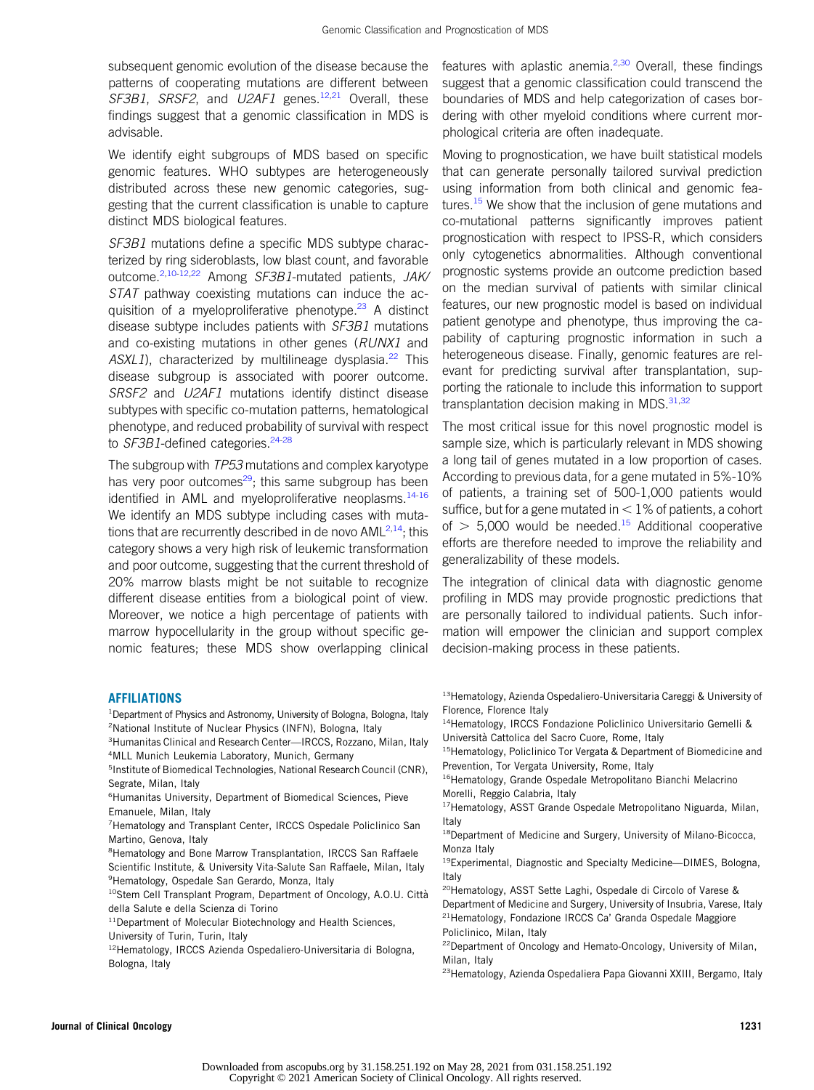subsequent genomic evolution of the disease because the patterns of cooperating mutations are different between SF3B1, SRSF2, and  $U2AF1$  genes.<sup>[12](#page-9-8)[,21](#page-10-7)</sup> Overall, these findings suggest that a genomic classification in MDS is advisable.

We identify eight subgroups of MDS based on specific genomic features. WHO subtypes are heterogeneously distributed across these new genomic categories, suggesting that the current classification is unable to capture distinct MDS biological features.

SF3B1 mutations define a specific MDS subtype characterized by ring sideroblasts, low blast count, and favorable outcome.<sup>[2](#page-9-1),[10-](#page-9-9)[12](#page-9-8)[,22](#page-10-8)</sup> Among SF3B1-mutated patients, JAK/ STAT pathway coexisting mutations can induce the ac-quisition of a myeloproliferative phenotype.<sup>[23](#page-10-9)</sup> A distinct disease subtype includes patients with SF3B1 mutations and co-existing mutations in other genes (RUNX1 and  $ASXL1$ ), characterized by multilineage dysplasia.<sup>[22](#page-10-8)</sup> This disease subgroup is associated with poorer outcome. SRSF2 and U2AF1 mutations identify distinct disease subtypes with specific co-mutation patterns, hematological phenotype, and reduced probability of survival with respect to SF3B1-defined categories.<sup>24[-28](#page-10-11)</sup>

The subgroup with TP53 mutations and complex karyotype has very poor outcomes $29$ ; this same subgroup has been identified in AML and myeloproliferative neoplasms.<sup>14[-16](#page-10-2)</sup> We identify an MDS subtype including cases with mutations that are recurrently described in de novo  $AML<sup>2,14</sup>$  $AML<sup>2,14</sup>$  $AML<sup>2,14</sup>$  $AML<sup>2,14</sup>$ ; this category shows a very high risk of leukemic transformation and poor outcome, suggesting that the current threshold of 20% marrow blasts might be not suitable to recognize different disease entities from a biological point of view. Moreover, we notice a high percentage of patients with marrow hypocellularity in the group without specific genomic features; these MDS show overlapping clinical features with aplastic anemia. $2,30$  $2,30$  $2,30$  Overall, these findings suggest that a genomic classification could transcend the boundaries of MDS and help categorization of cases bordering with other myeloid conditions where current morphological criteria are often inadequate.

Moving to prognostication, we have built statistical models that can generate personally tailored survival prediction using information from both clinical and genomic features.<sup>15</sup> We show that the inclusion of gene mutations and co-mutational patterns significantly improves patient prognostication with respect to IPSS-R, which considers only cytogenetics abnormalities. Although conventional prognostic systems provide an outcome prediction based on the median survival of patients with similar clinical features, our new prognostic model is based on individual patient genotype and phenotype, thus improving the capability of capturing prognostic information in such a heterogeneous disease. Finally, genomic features are relevant for predicting survival after transplantation, supporting the rationale to include this information to support transplantation decision making in MDS.<sup>[31,](#page-10-15)[32](#page-10-16)</sup>

The most critical issue for this novel prognostic model is sample size, which is particularly relevant in MDS showing a long tail of genes mutated in a low proportion of cases. According to previous data, for a gene mutated in 5%-10% of patients, a training set of 500-1,000 patients would suffice, but for a gene mutated in  $<$  1% of patients, a cohort of  $>$  5,000 would be needed.<sup>[15](#page-10-14)</sup> Additional cooperative efforts are therefore needed to improve the reliability and generalizability of these models.

The integration of clinical data with diagnostic genome profiling in MDS may provide prognostic predictions that are personally tailored to individual patients. Such information will empower the clinician and support complex decision-making process in these patients.

## **AFFILIATIONS**

- <sup>1</sup> Department of Physics and Astronomy, University of Bologna, Bologna, Italy <sup>2</sup>National Institute of Nuclear Physics (INFN), Bologna, Italy
- <sup>3</sup> Humanitas Clinical and Research Center—IRCCS, Rozzano, Milan, Italy 4 MLL Munich Leukemia Laboratory, Munich, Germany
- <sup>5</sup>Institute of Biomedical Technologies, National Research Council (CNR), Segrate, Milan, Italy
- 6 Humanitas University, Department of Biomedical Sciences, Pieve Emanuele, Milan, Italy
- 7 Hematology and Transplant Center, IRCCS Ospedale Policlinico San Martino, Genova, Italy
- <sup>8</sup> Hematology and Bone Marrow Transplantation, IRCCS San Raffaele Scientific Institute, & University Vita-Salute San Raffaele, Milan, Italy <sup>9</sup>Hematology, Ospedale San Gerardo, Monza, Italy
- <sup>10</sup>Stem Cell Transplant Program, Department of Oncology, A.O.U. Città della Salute e della Scienza di Torino
- <sup>11</sup>Department of Molecular Biotechnology and Health Sciences, University of Turin, Turin, Italy
- 12Hematology, IRCCS Azienda Ospedaliero-Universitaria di Bologna, Bologna, Italy
- 13Hematology, Azienda Ospedaliero-Universitaria Careggi & University of Florence, Florence Italy
- 14Hematology, IRCCS Fondazione Policlinico Universitario Gemelli & Universita Cattolica del Sacro Cuore, Rome, Italy `
- <sup>15</sup>Hematology, Policlinico Tor Vergata & Department of Biomedicine and Prevention, Tor Vergata University, Rome, Italy
- <sup>16</sup>Hematology, Grande Ospedale Metropolitano Bianchi Melacrino Morelli, Reggio Calabria, Italy
- <sup>17</sup>Hematology, ASST Grande Ospedale Metropolitano Niguarda, Milan, Italy
- <sup>18</sup>Department of Medicine and Surgery, University of Milano-Bicocca, Monza Italy
- 19Experimental, Diagnostic and Specialty Medicine—DIMES, Bologna, Italy
- 20Hematology, ASST Sette Laghi, Ospedale di Circolo of Varese & Department of Medicine and Surgery, University of Insubria, Varese, Italy 21Hematology, Fondazione IRCCS Ca' Granda Ospedale Maggiore Policlinico, Milan, Italy
- 22Department of Oncology and Hemato-Oncology, University of Milan, Milan, Italy
- 23Hematology, Azienda Ospedaliera Papa Giovanni XXIII, Bergamo, Italy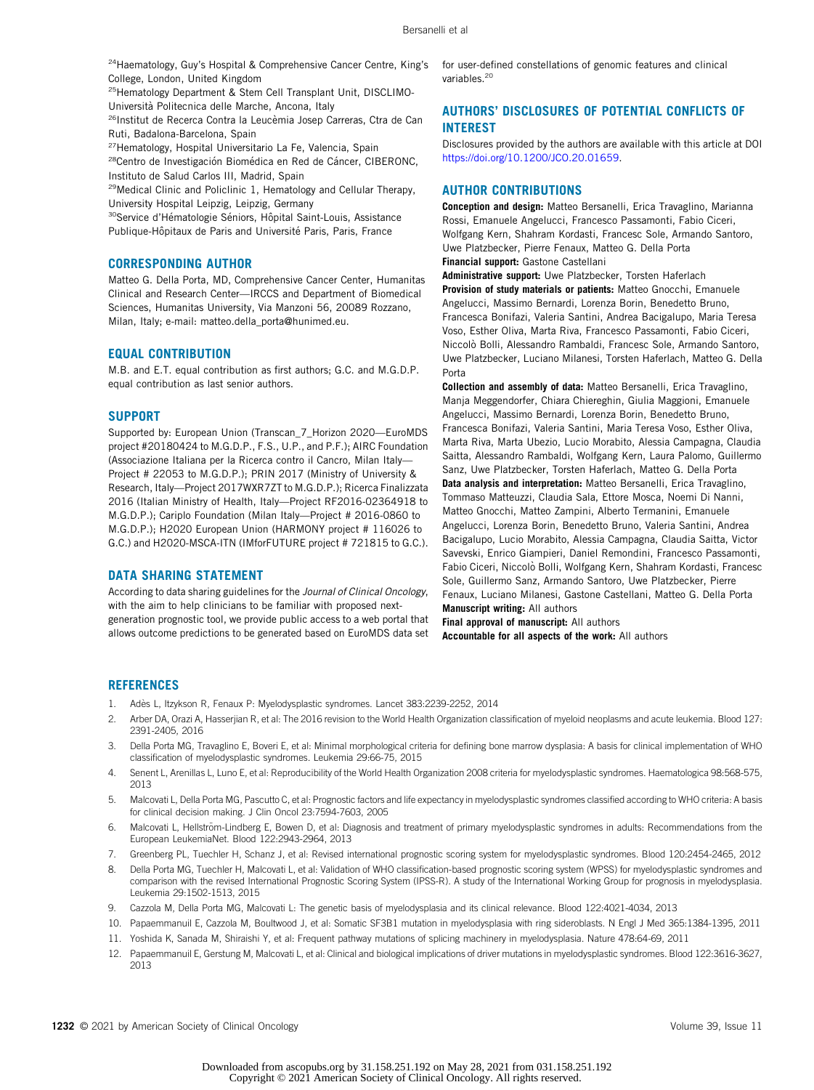<sup>24</sup>Haematology, Guy's Hospital & Comprehensive Cancer Centre, King's College, London, United Kingdom

<sup>25</sup>Hematology Department & Stem Cell Transplant Unit, DISCLIMO-Universita Politecnica delle Marche, Ancona, Italy `

<sup>26</sup>Institut de Recerca Contra la Leucèmia Josep Carreras, Ctra de Can Ruti, Badalona-Barcelona, Spain

<sup>27</sup>Hematology, Hospital Universitario La Fe, Valencia, Spain

<sup>28</sup>Centro de Investigación Biomédica en Red de Cáncer, CIBERONC, Instituto de Salud Carlos III, Madrid, Spain

29Medical Clinic and Policlinic 1, Hematology and Cellular Therapy, University Hospital Leipzig, Leipzig, Germany

<sup>30</sup>Service d'Hématologie Séniors, Hôpital Saint-Louis, Assistance Publique-Hôpitaux de Paris and Université Paris, Paris, France

## CORRESPONDING AUTHOR

Matteo G. Della Porta, MD, Comprehensive Cancer Center, Humanitas Clinical and Research Center—IRCCS and Department of Biomedical Sciences, Humanitas University, Via Manzoni 56, 20089 Rozzano, Milan, Italy; e-mail: [matteo.della\\_porta@hunimed.eu.](mailto:matteo.della_porta@hunimed.eu)

## EQUAL CONTRIBUTION

M.B. and E.T. equal contribution as first authors; G.C. and M.G.D.P. equal contribution as last senior authors.

### SUPPORT

Supported by: European Union (Transcan\_7\_Horizon 2020—EuroMDS project #20180424 to M.G.D.P., F.S., U.P., and P.F.); AIRC Foundation (Associazione Italiana per la Ricerca contro il Cancro, Milan Italy— Project # 22053 to M.G.D.P.); PRIN 2017 (Ministry of University & Research, Italy—Project 2017WXR7ZT to M.G.D.P.); Ricerca Finalizzata 2016 (Italian Ministry of Health, Italy—Project RF2016-02364918 to M.G.D.P.); Cariplo Foundation (Milan Italy—Project # 2016-0860 to M.G.D.P.); H2020 European Union (HARMONY project # 116026 to G.C.) and H2020-MSCA-ITN (IMforFUTURE project # 721815 to G.C.).

#### DATA SHARING STATEMENT

According to data sharing guidelines for the Journal of Clinical Oncology, with the aim to help clinicians to be familiar with proposed nextgeneration prognostic tool, we provide public access to a web portal that allows outcome predictions to be generated based on EuroMDS data set

for user-defined constellations of genomic features and clinical variables.<sup>20</sup>

## AUTHORS' DISCLOSURES OF POTENTIAL CONFLICTS OF INTEREST

Disclosures provided by the authors are available with this article at DOI [https://doi.org/10.1200/JCO.20.01659.](https://ascopubs.org/doi/full/10.1200/JCO.20.01659)

## AUTHOR CONTRIBUTIONS

Conception and design: Matteo Bersanelli, Erica Travaglino, Marianna Rossi, Emanuele Angelucci, Francesco Passamonti, Fabio Ciceri, Wolfgang Kern, Shahram Kordasti, Francesc Sole, Armando Santoro, Uwe Platzbecker, Pierre Fenaux, Matteo G. Della Porta Financial support: Gastone Castellani

Administrative support: Uwe Platzbecker, Torsten Haferlach Provision of study materials or patients: Matteo Gnocchi, Emanuele Angelucci, Massimo Bernardi, Lorenza Borin, Benedetto Bruno, Francesca Bonifazi, Valeria Santini, Andrea Bacigalupo, Maria Teresa Voso, Esther Oliva, Marta Riva, Francesco Passamonti, Fabio Ciceri, Niccolò Bolli, Alessandro Rambaldi, Francesc Sole, Armando Santoro, Uwe Platzbecker, Luciano Milanesi, Torsten Haferlach, Matteo G. Della Porta

Collection and assembly of data: Matteo Bersanelli, Erica Travaglino, Manja Meggendorfer, Chiara Chiereghin, Giulia Maggioni, Emanuele Angelucci, Massimo Bernardi, Lorenza Borin, Benedetto Bruno, Francesca Bonifazi, Valeria Santini, Maria Teresa Voso, Esther Oliva, Marta Riva, Marta Ubezio, Lucio Morabito, Alessia Campagna, Claudia Saitta, Alessandro Rambaldi, Wolfgang Kern, Laura Palomo, Guillermo Sanz, Uwe Platzbecker, Torsten Haferlach, Matteo G. Della Porta Data analysis and interpretation: Matteo Bersanelli, Erica Travaglino, Tommaso Matteuzzi, Claudia Sala, Ettore Mosca, Noemi Di Nanni, Matteo Gnocchi, Matteo Zampini, Alberto Termanini, Emanuele Angelucci, Lorenza Borin, Benedetto Bruno, Valeria Santini, Andrea Bacigalupo, Lucio Morabito, Alessia Campagna, Claudia Saitta, Victor Savevski, Enrico Giampieri, Daniel Remondini, Francesco Passamonti, Fabio Ciceri, Niccolò Bolli, Wolfgang Kern, Shahram Kordasti, Francesc Sole, Guillermo Sanz, Armando Santoro, Uwe Platzbecker, Pierre Fenaux, Luciano Milanesi, Gastone Castellani, Matteo G. Della Porta Manuscript writing: All authors

Final approval of manuscript: All authors Accountable for all aspects of the work: All authors

#### **REFERENCES**

- <span id="page-9-0"></span>1. Adès L, Itzykson R, Fenaux P: Myelodysplastic syndromes. Lancet 383:2239-2252, 2014
- <span id="page-9-1"></span>2. Arber DA, Orazi A, Hasserjian R, et al: The 2016 revision to the World Health Organization classification of myeloid neoplasms and acute leukemia. Blood 127: 2391-2405, 2016
- 3. Della Porta MG, Travaglino E, Boveri E, et al: Minimal morphological criteria for defining bone marrow dysplasia: A basis for clinical implementation of WHO classification of myelodysplastic syndromes. Leukemia 29:66-75, 2015
- <span id="page-9-2"></span>4. Senent L, Arenillas L, Luno E, et al: Reproducibility of the World Health Organization 2008 criteria for myelodysplastic syndromes. Haematologica 98:568-575, 2013
- <span id="page-9-3"></span>5. Malcovati L, Della Porta MG, Pascutto C, et al: Prognostic factors and life expectancy in myelodysplastic syndromes classified according to WHO criteria: A basis for clinical decision making. J Clin Oncol 23:7594-7603, 2005
- <span id="page-9-4"></span>6. Malcovati L, Hellström-Lindberg E, Bowen D, et al: Diagnosis and treatment of primary myelodysplastic syndromes in adults: Recommendations from the European LeukemiaNet. Blood 122:2943-2964, 2013
- <span id="page-9-6"></span><span id="page-9-5"></span>7. Greenberg PL, Tuechler H, Schanz J, et al: Revised international prognostic scoring system for myelodysplastic syndromes. Blood 120:2454-2465, 2012 8. Della Porta MG, Tuechler H, Malcovati L, et al: Validation of WHO classification-based prognostic scoring system (WPSS) for myelodysplastic syndromes and comparison with the revised International Prognostic Scoring System (IPSS-R). A study of the International Working Group for prognosis in myelodysplasia.
- <span id="page-9-7"></span>9. Cazzola M, Della Porta MG, Malcovati L: The genetic basis of myelodysplasia and its clinical relevance. Blood 122:4021-4034, 2013
- <span id="page-9-9"></span>10. Papaemmanuil E, Cazzola M, Boultwood J, et al: Somatic SF3B1 mutation in myelodysplasia with ring sideroblasts. N Engl J Med 365:1384-1395, 2011
- 11. Yoshida K, Sanada M, Shiraishi Y, et al: Frequent pathway mutations of splicing machinery in myelodysplasia. Nature 478:64-69, 2011
- <span id="page-9-8"></span>12. Papaemmanuil E, Gerstung M, Malcovati L, et al: Clinical and biological implications of driver mutations in myelodysplastic syndromes. Blood 122:3616-3627, 2013

1232 © 2021 by American Society of Clinical Oncology vertex and the state of the state of Clinical Oncology vertex and the state of Volume 39, Issue 11

Leukemia 29:1502-1513, 2015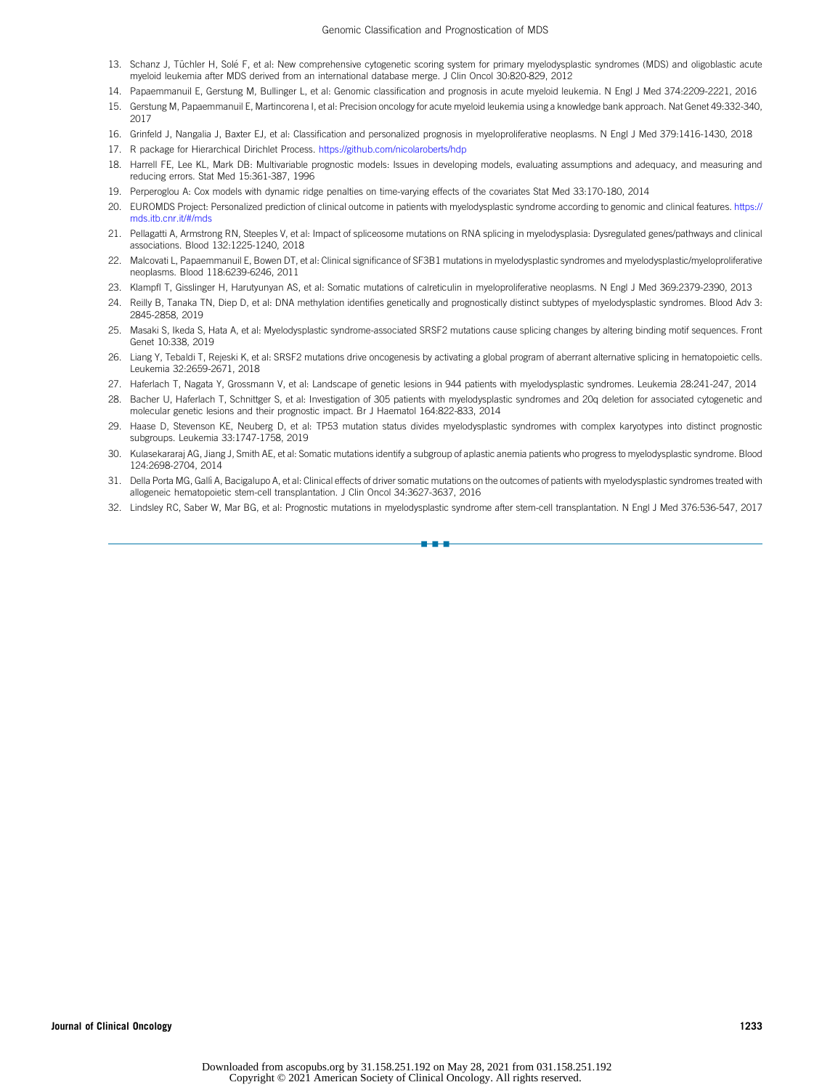- <span id="page-10-0"></span>13. Schanz J, Tüchler H, Solé F, et al: New comprehensive cytogenetic scoring system for primary myelodysplastic syndromes (MDS) and oligoblastic acute myeloid leukemia after MDS derived from an international database merge. J Clin Oncol 30:820-829, 2012
- <span id="page-10-1"></span>14. Papaemmanuil E, Gerstung M, Bullinger L, et al: Genomic classification and prognosis in acute myeloid leukemia. N Engl J Med 374:2209-2221, 2016
- <span id="page-10-14"></span>15. Gerstung M, Papaemmanuil E, Martincorena I, et al: Precision oncology for acute myeloid leukemia using a knowledge bank approach. Nat Genet 49:332-340, 2017
- <span id="page-10-3"></span><span id="page-10-2"></span>16. Grinfeld J, Nangalia J, Baxter EJ, et al: Classification and personalized prognosis in myeloproliferative neoplasms. N Engl J Med 379:1416-1430, 2018 17. R package for Hierarchical Dirichlet Process. <https://github.com/nicolaroberts/hdp>
- <span id="page-10-4"></span>18. Harrell FE, Lee KL, Mark DB: Multivariable prognostic models: Issues in developing models, evaluating assumptions and adequacy, and measuring and reducing errors. Stat Med 15:361-387, 1996
- <span id="page-10-5"></span>19. Perperoglou A: Cox models with dynamic ridge penalties on time-varying effects of the covariates Stat Med 33:170-180, 2014
- <span id="page-10-6"></span>20. EUROMDS Project: Personalized prediction of clinical outcome in patients with myelodysplastic syndrome according to genomic and clinical features. [https://](https://mds.itb.cnr.it/#/mds) [mds.itb.cnr.it/#/mds](https://mds.itb.cnr.it/#/mds)
- <span id="page-10-7"></span>21. Pellagatti A, Armstrong RN, Steeples V, et al: Impact of spliceosome mutations on RNA splicing in myelodysplasia: Dysregulated genes/pathways and clinical associations. Blood 132:1225-1240, 2018
- <span id="page-10-8"></span>22. Malcovati L, Papaemmanuil E, Bowen DT, et al: Clinical significance of SF3B1 mutations in myelodysplastic syndromes and myelodysplastic/myeloproliferative neoplasms. Blood 118:6239-6246, 2011
- <span id="page-10-9"></span>23. Klampfl T, Gisslinger H, Harutyunyan AS, et al: Somatic mutations of calreticulin in myeloproliferative neoplasms. N Engl J Med 369:2379-2390, 2013
- <span id="page-10-10"></span>24. Reilly B, Tanaka TN, Diep D, et al: DNA methylation identifies genetically and prognostically distinct subtypes of myelodysplastic syndromes. Blood Adv 3: 2845-2858, 2019
- 25. Masaki S, Ikeda S, Hata A, et al: Myelodysplastic syndrome-associated SRSF2 mutations cause splicing changes by altering binding motif sequences. Front Genet 10:338, 2019
- 26. Liang Y, Tebaldi T, Rejeski K, et al: SRSF2 mutations drive oncogenesis by activating a global program of aberrant alternative splicing in hematopoietic cells. Leukemia 32:2659-2671, 2018
- 27. Haferlach T, Nagata Y, Grossmann V, et al: Landscape of genetic lesions in 944 patients with myelodysplastic syndromes. Leukemia 28:241-247, 2014
- <span id="page-10-11"></span>28. Bacher U, Haferlach T, Schnittger S, et al: Investigation of 305 patients with myelodysplastic syndromes and 20q deletion for associated cytogenetic and molecular genetic lesions and their prognostic impact. Br J Haematol 164:822-833, 2014
- <span id="page-10-12"></span>29. Haase D, Stevenson KE, Neuberg D, et al: TP53 mutation status divides myelodysplastic syndromes with complex karyotypes into distinct prognostic subgroups. Leukemia 33:1747-1758, 2019
- <span id="page-10-13"></span>30. Kulasekararaj AG, Jiang J, Smith AE, et al: Somatic mutations identify a subgroup of aplastic anemia patients who progress to myelodysplastic syndrome. Blood 124:2698-2704, 2014
- <span id="page-10-15"></span>31. Della Porta MG, Gallì A, Bacigalupo A, et al: Clinical effects of driver somatic mutations on the outcomes of patients with myelodysplastic syndromes treated with allogeneic hematopoietic stem-cell transplantation. J Clin Oncol 34:3627-3637, 2016
- <span id="page-10-16"></span>32. Lindsley RC, Saber W, Mar BG, et al: Prognostic mutations in myelodysplastic syndrome after stem-cell transplantation. N Engl J Med 376:536-547, 2017

n-a-a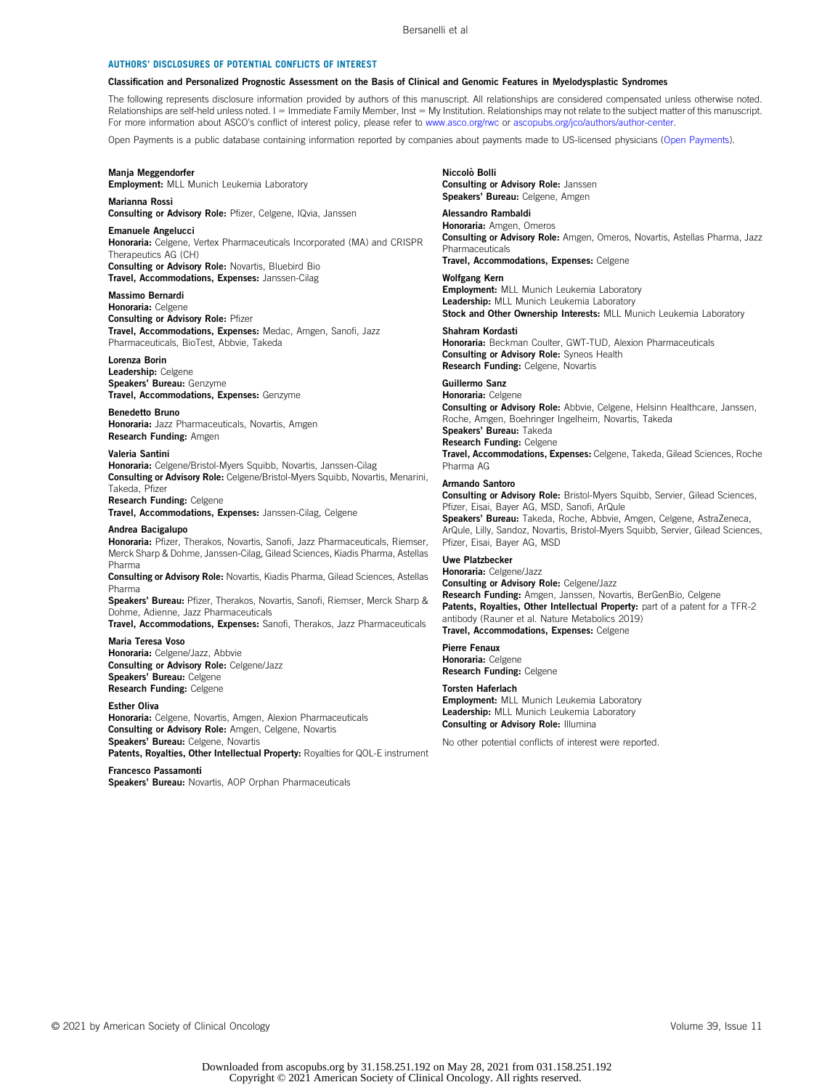#### AUTHORS' DISCLOSURES OF POTENTIAL CONFLICTS OF INTEREST

#### Classification and Personalized Prognostic Assessment on the Basis of Clinical and Genomic Features in Myelodysplastic Syndromes

The following represents disclosure information provided by authors of this manuscript. All relationships are considered compensated unless otherwise noted. Relationships are self-held unless noted. I = Immediate Family Member, Inst = My Institution. Relationships may not relate to the subject matter of this manuscript. For more information about ASCO's conflict of interest policy, please refer to [www.asco.org/rwc](http://www.asco.org/rwc) or [ascopubs.org/jco/authors/author-center](http://ascopubs.org/jco/authors/author-center).

Open Payments is a public database containing information reported by companies about payments made to US-licensed physicians [\(Open Payments](https://openpaymentsdata.cms.gov/)).

#### Manja Meggendorfer

Employment: MLL Munich Leukemia Laboratory

#### Marianna Rossi

Consulting or Advisory Role: Pfizer, Celgene, IQvia, Janssen

#### Emanuele Angelucci

Honoraria: Celgene, Vertex Pharmaceuticals Incorporated (MA) and CRISPR Therapeutics AG (CH) Consulting or Advisory Role: Novartis, Bluebird Bio

Travel, Accommodations, Expenses: Janssen-Cilag

## Massimo Bernardi

Honoraria: Celgene Consulting or Advisory Role: Pfizer Travel, Accommodations, Expenses: Medac, Amgen, Sanofi, Jazz Pharmaceuticals, BioTest, Abbvie, Takeda

#### Lorenza Borin

Leadership: Celgene Speakers' Bureau: Genzyme Travel, Accommodations, Expenses: Genzyme

Benedetto Bruno Honoraria: Jazz Pharmaceuticals, Novartis, Amgen Research Funding: Amgen

#### Valeria Santini

Honoraria: Celgene/Bristol-Myers Squibb, Novartis, Janssen-Cilag Consulting or Advisory Role: Celgene/Bristol-Myers Squibb, Novartis, Menarini, Takeda, Pfizer Research Funding: Celgene

Travel, Accommodations, Expenses: Janssen-Cilag, Celgene

#### Andrea Bacigalupo

Honoraria: Pfizer, Therakos, Novartis, Sanofi, Jazz Pharmaceuticals, Riemser, Merck Sharp & Dohme, Janssen-Cilag, Gilead Sciences, Kiadis Pharma, Astellas Pharma

Consulting or Advisory Role: Novartis, Kiadis Pharma, Gilead Sciences, Astellas Pharma

Speakers' Bureau: Pfizer, Therakos, Novartis, Sanofi, Riemser, Merck Sharp & Dohme, Adienne, Jazz Pharmaceuticals

Travel, Accommodations, Expenses: Sanofi, Therakos, Jazz Pharmaceuticals Maria Teresa Voso

#### Honoraria: Celgene/Jazz, Abbvie Consulting or Advisory Role: Celgene/Jazz Speakers' Bureau: Celgene Research Funding: Celgene

Esther Oliva

Honoraria: Celgene, Novartis, Amgen, Alexion Pharmaceuticals Consulting or Advisory Role: Amgen, Celgene, Novartis Speakers' Bureau: Celgene, Novartis

Patents, Royalties, Other Intellectual Property: Royalties for QOL-E instrument

Francesco Passamonti Speakers' Bureau: Novartis, AOP Orphan Pharmaceuticals

#### Niccolò Bolli Consulting or Advisory Role: Janssen Speakers' Bureau: Celgene, Amgen

#### Alessandro Rambaldi

Honoraria: Amgen, Omeros Consulting or Advisory Role: Amgen, Omeros, Novartis, Astellas Pharma, Jazz Pharmaceuticals Travel, Accommodations, Expenses: Celgene

## Wolfgang Kern

**Employment:** MLL Munich Leukemia Laboratory Leadership: MLL Munich Leukemia Laboratory Stock and Other Ownership Interests: MLL Munich Leukemia Laboratory

Shahram Kordasti

Honoraria: Beckman Coulter, GWT-TUD, Alexion Pharmaceuticals Consulting or Advisory Role: Syneos Health Research Funding: Celgene, Novartis

## Guillermo Sanz

Honoraria: Celgene Consulting or Advisory Role: Abbvie, Celgene, Helsinn Healthcare, Janssen, Roche, Amgen, Boehringer Ingelheim, Novartis, Takeda Speakers' Bureau: Takeda Research Funding: Celgene Travel, Accommodations, Expenses: Celgene, Takeda, Gilead Sciences, Roche Pharma AG

#### Armando Santoro

Consulting or Advisory Role: Bristol-Myers Squibb, Servier, Gilead Sciences, Pfizer, Eisai, Bayer AG, MSD, Sanofi, ArQule Speakers' Bureau: Takeda, Roche, Abbvie, Amgen, Celgene, AstraZeneca, ArQule, Lilly, Sandoz, Novartis, Bristol-Myers Squibb, Servier, Gilead Sciences, Pfizer, Eisai, Bayer AG, MSD

## Uwe Platzbecker

Honoraria: Celgene/Jazz Consulting or Advisory Role: Celgene/Jazz Research Funding: Amgen, Janssen, Novartis, BerGenBio, Celgene Patents, Royalties, Other Intellectual Property: part of a patent for a TFR-2 antibody (Rauner et al. Nature Metabolics 2019) Travel, Accommodations, Expenses: Celgene

## Pierre Fenaux

Honoraria: Celgene Research Funding: Celgene

#### Torsten Haferlach

**Employment:** MLL Munich Leukemia Laboratory Leadership: MLL Munich Leukemia Laboratory Consulting or Advisory Role: Illumina

No other potential conflicts of interest were reported.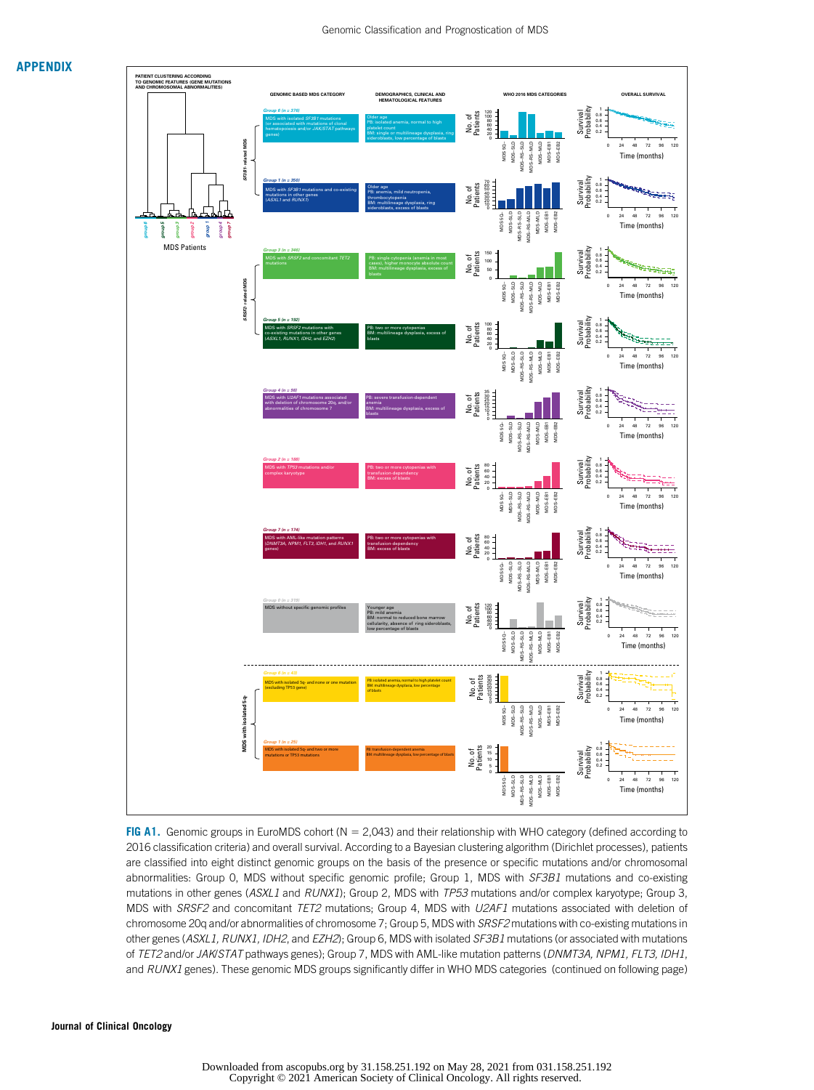

FIG A1. Genomic groups in EuroMDS cohort ( $N = 2,043$ ) and their relationship with WHO category (defined according to 2016 classification criteria) and overall survival. According to a Bayesian clustering algorithm (Dirichlet processes), patients are classified into eight distinct genomic groups on the basis of the presence or specific mutations and/or chromosomal abnormalities: Group O, MDS without specific genomic profile; Group 1, MDS with SF3B1 mutations and co-existing mutations in other genes (ASXL1 and RUNX1); Group 2, MDS with TP53 mutations and/or complex karyotype; Group 3, MDS with SRSF2 and concomitant TET2 mutations; Group 4, MDS with U2AF1 mutations associated with deletion of chromosome 20q and/or abnormalities of chromosome 7; Group 5, MDS with SRSF2 mutations with co-existing mutations in other genes (ASXL1, RUNX1, IDH2, and EZH2); Group 6, MDS with isolated SF3B1 mutations (or associated with mutations of TET2 and/or JAK/STAT pathways genes); Group 7, MDS with AML-like mutation patterns (DNMT3A, NPM1, FLT3, IDH1, and RUNX1 genes). These genomic MDS groups significantly differ in WHO MDS categories (continued on following page)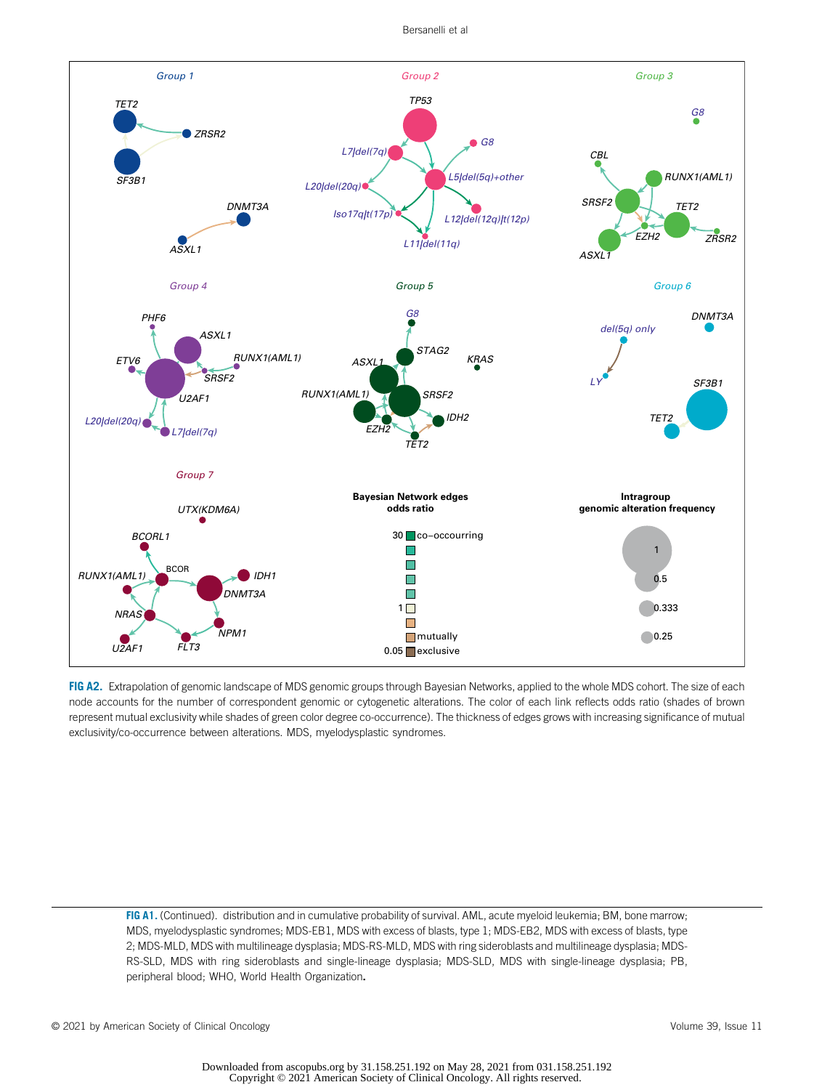

FIG A2. Extrapolation of genomic landscape of MDS genomic groups through Bayesian Networks, applied to the whole MDS cohort. The size of each node accounts for the number of correspondent genomic or cytogenetic alterations. The color of each link reflects odds ratio (shades of brown represent mutual exclusivity while shades of green color degree co-occurrence). The thickness of edges grows with increasing significance of mutual exclusivity/co-occurrence between alterations. MDS, myelodysplastic syndromes.

FIG A1. (Continued). distribution and in cumulative probability of survival. AML, acute myeloid leukemia; BM, bone marrow; MDS, myelodysplastic syndromes; MDS-EB1, MDS with excess of blasts, type 1; MDS-EB2, MDS with excess of blasts, type 2; MDS-MLD, MDS with multilineage dysplasia; MDS-RS-MLD, MDS with ring sideroblasts and multilineage dysplasia; MDS-RS-SLD, MDS with ring sideroblasts and single-lineage dysplasia; MDS-SLD, MDS with single-lineage dysplasia; PB, peripheral blood; WHO, World Health Organization.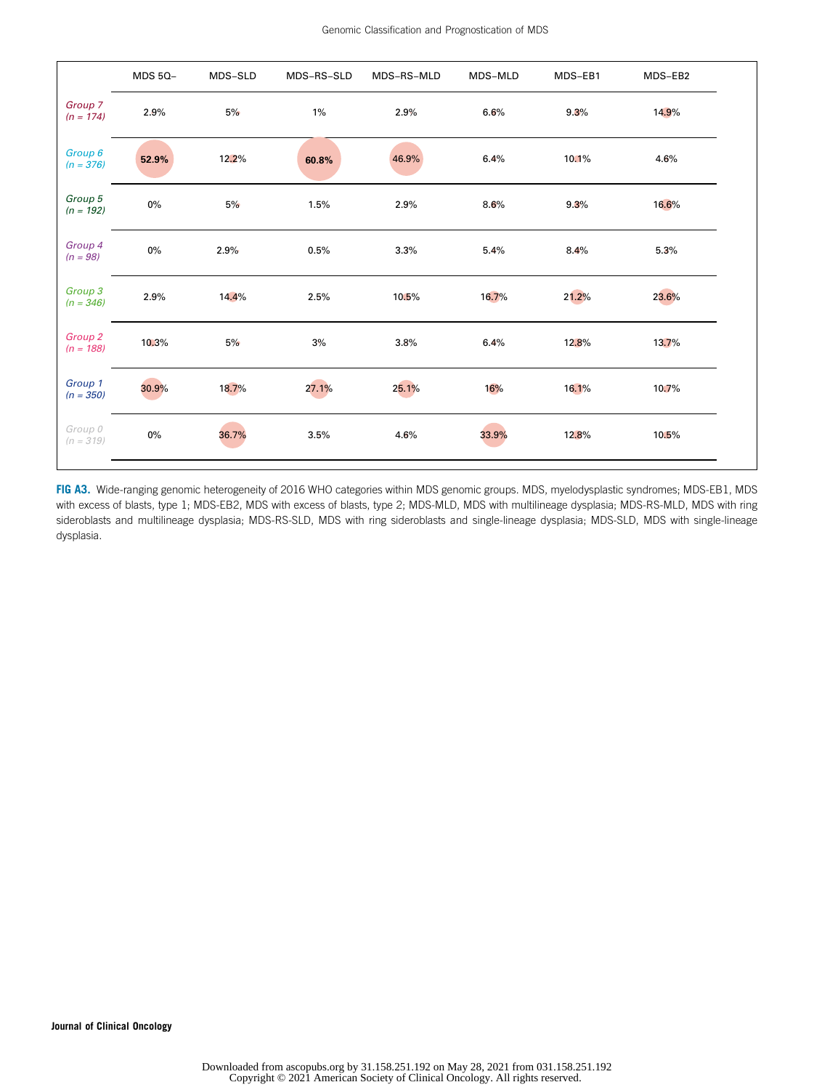|                                   | <b>MDS 5Q-</b> | MDS-SLD | MDS-RS-SLD | MDS-RS-MLD | MDS-MLD | MDS-EB1 | MDS-EB2 |  |
|-----------------------------------|----------------|---------|------------|------------|---------|---------|---------|--|
| Group 7<br>$(n = 174)$            | 2.9%           | 5%      | $1\%$      | 2.9%       | 6.6%    | 9.3%    | 14.9%   |  |
| Group 6<br>$(n = 376)$            | 52.9%          | 12.2%   | 60.8%      | 46.9%      | 6.4%    | 10.1%   | 4.6%    |  |
| Group 5<br>$(n = 192)$            | 0%             | 5%      | 1.5%       | 2.9%       | 8.6%    | 9.3%    | 16.6%   |  |
| Group <sub>4</sub><br>$(n = 98)$  | $0\%$          | 2.9%    | 0.5%       | 3.3%       | 5.4%    | 8.4%    | 5.3%    |  |
| Group <sub>3</sub><br>$(n = 346)$ | 2.9%           | 14.4%   | 2.5%       | 10.5%      | 16.7%   | 21.2%   | 23.6%   |  |
| Group <sub>2</sub><br>$(n = 188)$ | 10.3%          | 5%      | 3%         | 3.8%       | 6.4%    | 12.8%   | 13.7%   |  |
| Group 1<br>$(n = 350)$            | 30.9%          | 18.7%   | 27.1%      | 25.1%      | 16%     | 16.1%   | 10.7%   |  |
| Group 0<br>$(n = 319)$            | $0\%$          | 36.7%   | 3.5%       | 4.6%       | 33.9%   | 12.8%   | 10.5%   |  |

FIG A3. Wide-ranging genomic heterogeneity of 2016 WHO categories within MDS genomic groups. MDS, myelodysplastic syndromes; MDS-EB1, MDS with excess of blasts, type 1; MDS-EB2, MDS with excess of blasts, type 2; MDS-MLD, MDS with multilineage dysplasia; MDS-RS-MLD, MDS with ring sideroblasts and multilineage dysplasia; MDS-RS-SLD, MDS with ring sideroblasts and single-lineage dysplasia; MDS-SLD, MDS with single-lineage dysplasia.